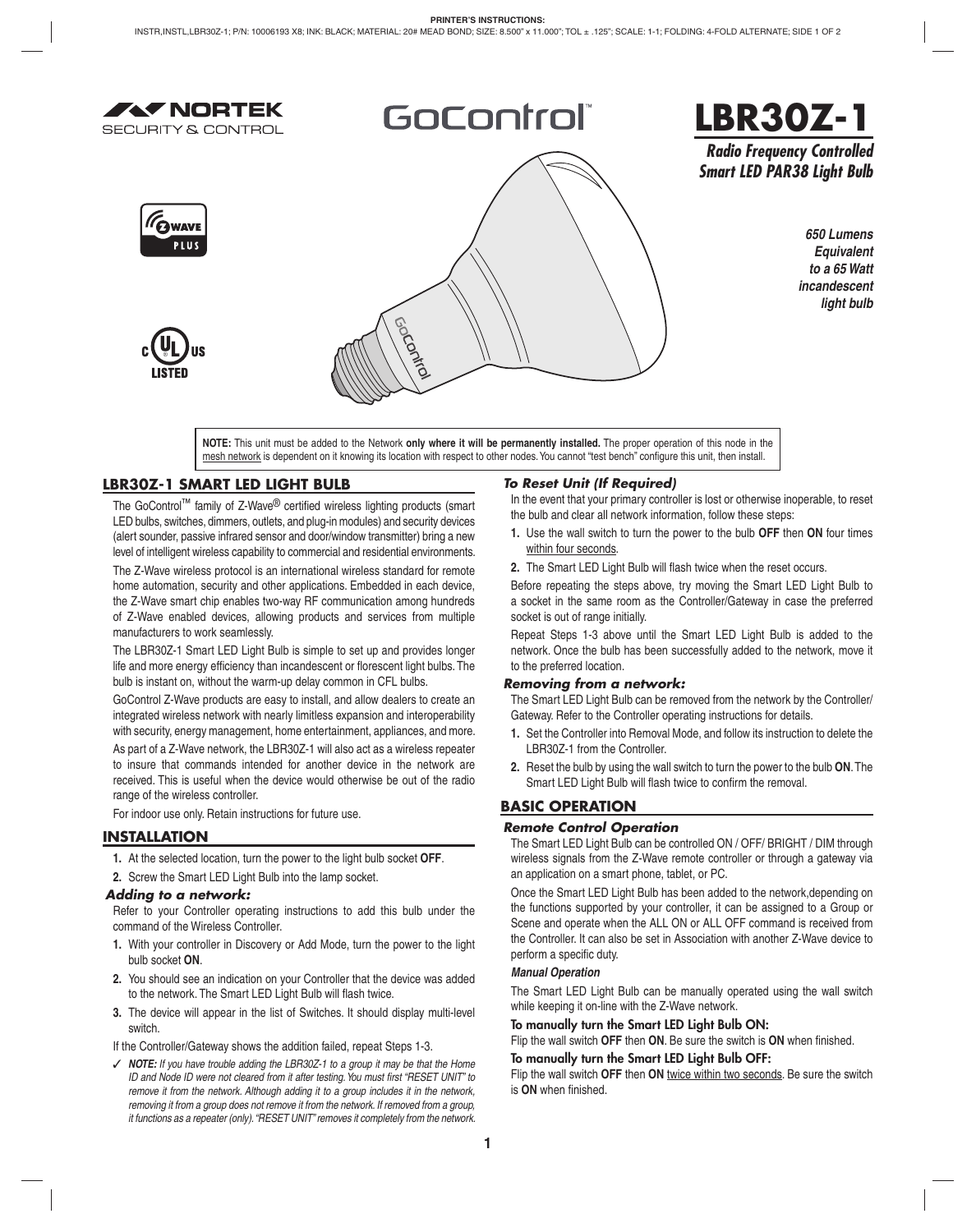

# GoControl®



*Radio Frequency Controlled Smart LED PAR38 Light Bulb*







*650 Lumens Equivalent to a 65 Watt incandescent light bulb*

**NOTE:** This unit must be added to the Network **only where it will be permanently installed.** The proper operation of this node in the mesh network is dependent on it knowing its location with respect to other nodes. You cannot "test bench" configure this unit, then install.

# **LBR30Z-1 SMART LED LIGHT BULB**

The GoControl™ family of Z-Wave® certified wireless lighting products (smart LED bulbs, switches, dimmers, outlets, and plug-in modules) and security devices (alert sounder, passive infrared sensor and door/window transmitter) bring a new level of intelligent wireless capability to commercial and residential environments.

The Z-Wave wireless protocol is an international wireless standard for remote home automation, security and other applications. Embedded in each device, the Z-Wave smart chip enables two-way RF communication among hundreds of Z-Wave enabled devices, allowing products and services from multiple manufacturers to work seamlessly.

The LBR30Z-1 Smart LED Light Bulb is simple to set up and provides longer life and more energy efficiency than incandescent or florescent light bulbs. The bulb is instant on, without the warm-up delay common in CFL bulbs.

GoControl Z-Wave products are easy to install, and allow dealers to create an integrated wireless network with nearly limitless expansion and interoperability with security, energy management, home entertainment, appliances, and more.

As part of a Z-Wave network, the LBR30Z-1 will also act as a wireless repeater to insure that commands intended for another device in the network are received. This is useful when the device would otherwise be out of the radio range of the wireless controller.

For indoor use only. Retain instructions for future use.

# **INSTALLATION**

**1.** At the selected location, turn the power to the light bulb socket **OFF**.

**2.** Screw the Smart LED Light Bulb into the lamp socket.

#### *Adding to a network:*

Refer to your Controller operating instructions to add this bulb under the command of the Wireless Controller.

- **1.** With your controller in Discovery or Add Mode, turn the power to the light bulb socket **ON**.
- **2.** You should see an indication on your Controller that the device was added to the network. The Smart LED Light Bulb will flash twice.
- **3.** The device will appear in the list of Switches. It should display multi-level switch.

If the Controller/Gateway shows the addition failed, repeat Steps 1-3.

✓ *NOTE: If you have trouble adding the LBR30Z-1 to a group it may be that the Home ID and Node ID were not cleared from it after testing. You must first "RESET UNIT" to remove it from the network. Although adding it to a group includes it in the network, removing it from a group does not remove it from the network. If removed from a group, it functions as a repeater (only). "RESET UNIT" removes it completely from the network.*

# *To Reset Unit (If Required)*

In the event that your primary controller is lost or otherwise inoperable, to reset the bulb and clear all network information, follow these steps:

- **1.** Use the wall switch to turn the power to the bulb **OFF** then **ON** four times within four seconds.
- 2. The Smart LED Light Bulb will flash twice when the reset occurs.

Before repeating the steps above, try moving the Smart LED Light Bulb to a socket in the same room as the Controller/Gateway in case the preferred socket is out of range initially.

Repeat Steps 1-3 above until the Smart LED Light Bulb is added to the network. Once the bulb has been successfully added to the network, move it to the preferred location.

#### *Removing from a network:*

The Smart LED Light Bulb can be removed from the network by the Controller/ Gateway. Refer to the Controller operating instructions for details.

- **1.** Set the Controller into Removal Mode, and follow its instruction to delete the LBR30Z-1 from the Controller.
- **2.** Reset the bulb by using the wall switch to turn the power to the bulb **ON**. The Smart LED Light Bulb will flash twice to confirm the removal.

# **BASIC OPERATION**

#### *Remote Control Operation*

The Smart LED Light Bulb can be controlled ON / OFF/ BRIGHT / DIM through wireless signals from the Z-Wave remote controller or through a gateway via an application on a smart phone, tablet, or PC.

Once the Smart LED Light Bulb has been added to the network,depending on the functions supported by your controller, it can be assigned to a Group or Scene and operate when the ALL ON or ALL OFF command is received from the Controller. It can also be set in Association with another Z-Wave device to perform a specific duty.

#### *Manual Operation*

The Smart LED Light Bulb can be manually operated using the wall switch while keeping it on-line with the Z-Wave network.

# **To manually turn the Smart LED Light Bulb ON:**

Flip the wall switch OFF then ON. Be sure the switch is ON when finished.

# **To manually turn the Smart LED Light Bulb OFF:**

Flip the wall switch **OFF** then **ON** twice within two seconds. Be sure the switch is ON when finished.